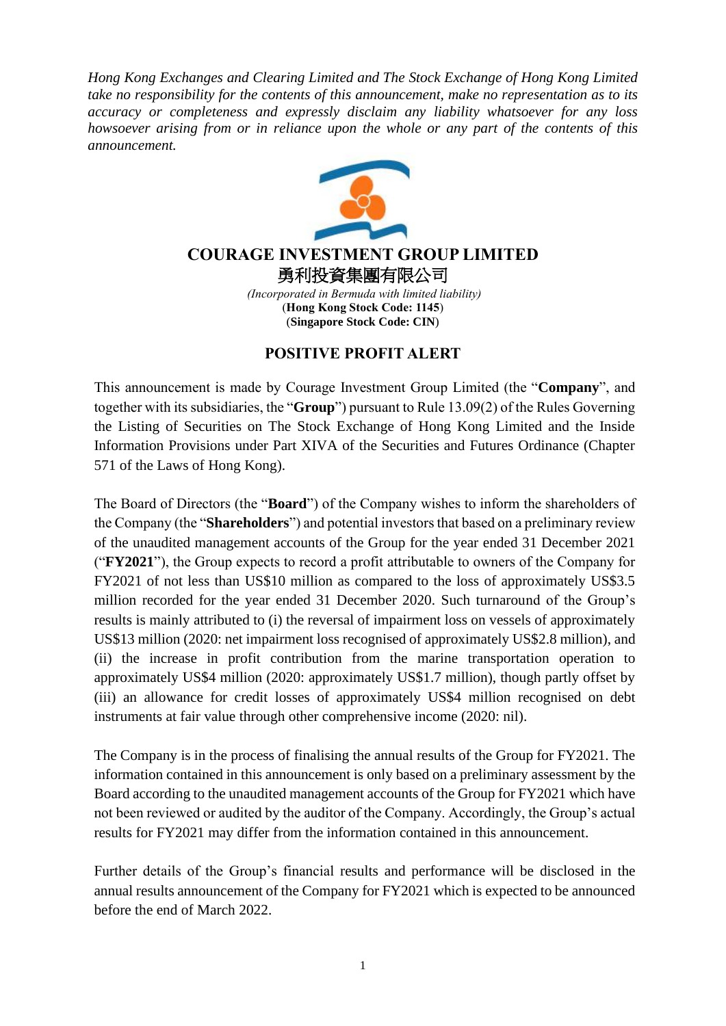*Hong Kong Exchanges and Clearing Limited and The Stock Exchange of Hong Kong Limited take no responsibility for the contents of this announcement, make no representation as to its accuracy or completeness and expressly disclaim any liability whatsoever for any loss howsoever arising from or in reliance upon the whole or any part of the contents of this announcement.*



## **COURAGE INVESTMENT GROUP LIMITED** 勇利投資集團有限公司

*(Incorporated in Bermuda with limited liability)* (**Hong Kong Stock Code: 1145**) (**Singapore Stock Code: CIN**)

## **POSITIVE PROFIT ALERT**

This announcement is made by Courage Investment Group Limited (the "**Company**", and together with its subsidiaries, the "**Group**") pursuant to Rule 13.09(2) of the Rules Governing the Listing of Securities on The Stock Exchange of Hong Kong Limited and the Inside Information Provisions under Part XIVA of the Securities and Futures Ordinance (Chapter 571 of the Laws of Hong Kong).

The Board of Directors (the "**Board**") of the Company wishes to inform the shareholders of the Company (the "**Shareholders**") and potential investors that based on a preliminary review of the unaudited management accounts of the Group for the year ended 31 December 2021 ("**FY2021**"), the Group expects to record a profit attributable to owners of the Company for FY2021 of not less than US\$10 million as compared to the loss of approximately US\$3.5 million recorded for the year ended 31 December 2020. Such turnaround of the Group's results is mainly attributed to (i) the reversal of impairment loss on vessels of approximately US\$13 million (2020: net impairment loss recognised of approximately US\$2.8 million), and (ii) the increase in profit contribution from the marine transportation operation to approximately US\$4 million (2020: approximately US\$1.7 million), though partly offset by (iii) an allowance for credit losses of approximately US\$4 million recognised on debt instruments at fair value through other comprehensive income (2020: nil).

The Company is in the process of finalising the annual results of the Group for FY2021. The information contained in this announcement is only based on a preliminary assessment by the Board according to the unaudited management accounts of the Group for FY2021 which have not been reviewed or audited by the auditor of the Company. Accordingly, the Group's actual results for FY2021 may differ from the information contained in this announcement.

Further details of the Group's financial results and performance will be disclosed in the annual results announcement of the Company for FY2021 which is expected to be announced before the end of March 2022.